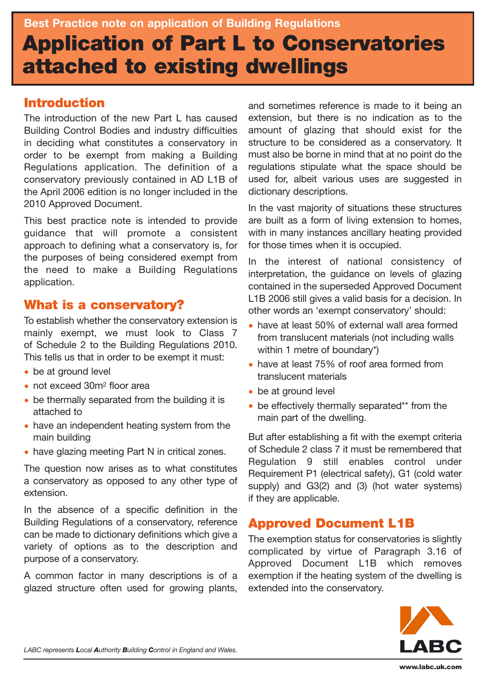# **Introduction**

The introduction of the new Part L has caused Building Control Bodies and industry difficulties in deciding what constitutes a conservatory in order to be exempt from making a Building Regulations application. The definition of a conservatory previously contained in AD L1B of the April 2006 edition is no longer included in the 2010 Approved Document.

This best practice note is intended to provide guidance that will promote a consistent approach to defining what a conservatory is, for the purposes of being considered exempt from the need to make a Building Regulations application.

## **What is a conservatory?**

To establish whether the conservatory extension is mainly exempt, we must look to Class 7 of Schedule 2 to the Building Regulations 2010. This tells us that in order to be exempt it must:

- be at ground level
- not exceed 30m<sup>2</sup> floor area
- be thermally separated from the building it is attached to
- have an independent heating system from the main building
- have glazing meeting Part N in critical zones.

The question now arises as to what constitutes a conservatory as opposed to any other type of extension.

In the absence of a specific definition in the Building Regulations of a conservatory, reference can be made to dictionary definitions which give a variety of options as to the description and purpose of a conservatory.

A common factor in many descriptions is of a glazed structure often used for growing plants,

and sometimes reference is made to it being an extension, but there is no indication as to the amount of glazing that should exist for the structure to be considered as a conservatory. It must also be borne in mind that at no point do the regulations stipulate what the space should be used for, albeit various uses are suggested in dictionary descriptions.

In the vast majority of situations these structures are built as a form of living extension to homes, with in many instances ancillary heating provided for those times when it is occupied.

In the interest of national consistency of interpretation, the guidance on levels of glazing contained in the superseded Approved Document L1B 2006 still gives a valid basis for a decision. In other words an 'exempt conservatory' should:

- have at least 50% of external wall area formed from translucent materials (not including walls within 1 metre of boundary\*)
- have at least 75% of roof area formed from translucent materials
- be at ground level
- be effectively thermally separated\*\* from the main part of the dwelling.

But after establishing a fit with the exempt criteria of Schedule 2 class 7 it must be remembered that Regulation 9 still enables control under Requirement P1 (electrical safety), G1 (cold water supply) and G3(2) and (3) (hot water systems) if they are applicable.

# **Approved Document L1B**

The exemption status for conservatories is slightly complicated by virtue of Paragraph 3.16 of Approved Document L1B which removes exemption if the heating system of the dwelling is extended into the conservatory.